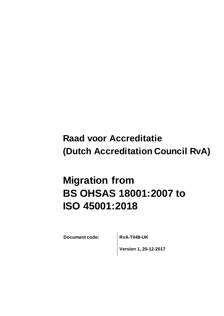## **Raad voor Accreditatie (Dutch Accreditation Council RvA)**

# **Migration from BS OHSAS 18001:2007 to ISO 45001:2018**

**Document code: RvA-T048-UK**

**Version 1, 20-12-2017**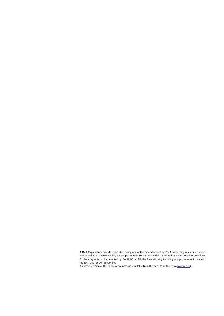A Rv A Explanatory note describes the policy and/or the procedures of the Rv A concerning a specif ic f ield of accreditation. In case the policy and/or procedures for a specific field of accreditation as described in a Rv A Explanatory note, is documented by EA, ILAC or IAF, the Rv A will bring its policy and procedures in line with the EA, ILAC or IAF-document.

A current v ersion of the Explanatory notes is av ailable f rom the website of the Rv A [\(www.rv a.nl\)](http://www.rva.nl/).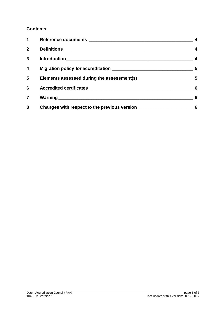#### **Contents**

| 1            | 4                       |
|--------------|-------------------------|
| $\mathbf{2}$ | $\sim$ 4                |
| 3            | $\overline{\mathbf{4}}$ |
| 4            |                         |
| 5            |                         |
| 6            | 6                       |
| 7            | 6                       |
| 8            |                         |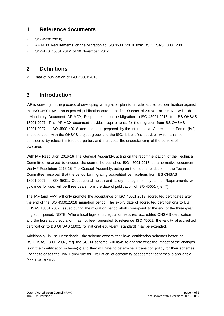## <span id="page-3-0"></span>**1 Reference documents**

- ISO 45001:2018:
- IAF MDX Requirements on the Migration to ISO 45001:2018 from BS OHSAS 18001:2007
- ISO/FDIS 45001:201X of 30 November 2017.

### <span id="page-3-1"></span>**2 Definitions**

Y Date of publication of ISO 45001:2018;

## <span id="page-3-2"></span>**3 Introduction**

IAF is currently in the process of developing a migration plan to provide accredited certification against the ISO 45001 (with an expected publication date in the first Quarter of 2018). For this, IAF will publish a Mandatory Document IAF MDX; Requirements on the Migration to ISO 45001:2018 from BS OHSAS 18001:2007. This IAF MDX document provides requirements for the migration from BS OHSAS 18001:2007 to ISO 45001:2018 and has been prepared by the International Accreditation Forum (IAF) in cooperation with the OHSAS project group and the ISO. It identifies activities which shall be considered by relevant interested parties and increases the understanding of the context of ISO 45001.

With IAF Resolution 2016-16 The General Assembly, acting on the recommendation of the Technical Committee, resolved to endorse the soon to be published ISO 45001:2018 as a normative document. Via IAF Resolution 2016-15 The General Assembly, acting on the recommendation of the Technical Committee, resolved that the period for migrating accredited certifications from BS OHSAS 18001:2007 to ISO 45001; Occupational health and safety management systems – Requirements with guidance for use, will be three years from the date of publication of ISO 45001 (i.e. Y).

The IAF (and RvA) will only promote the acceptance of ISO 45001:2018 accredited certificates after the end of the ISO 45001:2018 migration period. The expiry date of accredited certifications to BS OHSAS 18001:2007 issued during the migration period shall correspond to the end of the three-year migration period. NOTE: Where local legislation/regulation requires accredited OHSMS certification and the legislation/regulation has not been amended to reference ISO 45001, the validity of accredited certification to BS OHSAS 18001 (or national equivalent standard) may be extended.

Additionally, in The Netherlands, the scheme owners that have certification schemes based on BS OHSAS 18001:2007, e.g. the SCCM scheme, will have to analyse what the impact of the changes is on their certification scheme(s) and they will have to determine a transition policy for their schemes. For these cases the RvA Policy rule for Evaluation of conformity assessment schemes is applicable (see RvA-BR012).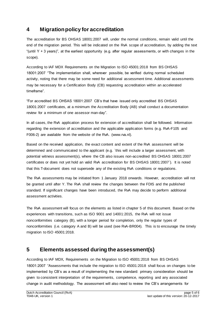## <span id="page-4-0"></span>**4 Migration policy for accreditation**

The accreditation for BS OHSAS 18001:2007 will, under the normal conditions, remain valid until the end of the migration period. This will be indicated on the RvA scope of accreditation, by adding the text "(until  $Y + 3$  years)", at the earliest opportunity (e.g. after regular assessments, or with changes in the scope).

According to IAF MDX Requirements on the Migration to ISO 45001:2018 from BS OHSAS 18001:2007 "The implementation shall, wherever possible, be verified during normal scheduled activity, noting that there may be some need for additional assessment time. Additional assessments may be necessary for a Certification Body (CB) requesting accreditation within an accelerated timeframe".

"For accredited BS OHSAS 18001:2007 CB's that have issued only accredited BS OHSAS 18001:2007 certificates, at a minimum the Accreditation Body (AB) shall conduct a documentation review for a minimum of one assessor man-day".

In all cases, the RvA application process for extension of accreditation shall be followed. Information regarding the extension of accreditation and the applicable application forms (e.g. RvA-F105 and F006-2) are available from the website of the RvA. [\(www.rva.nl\).](http://www.rva.nl/)

Based on the received application, the exact content and extent of the RvA assessment will be determined and communicated to the applicant (e.g. `this will include a larger assessment, with potential witness assessment(s), where the CB also issues non-accredited BS OHSAS 18001:2007 certificates or does not yet hold an valid RvA accreditation for BS OHSAS 18001:2007`). It is noted that this T-document does not supersede any of the existing RvA conditions or regulations.

The RvA assessments may be initiated from 1 January 2018 onwards. However, accreditation will not be granted until after Y. The RvA shall review the changes between the FDIS and the published standard. If significant changes have been introduced, the RvA may decide to perform additional assessment activities.

The RvA assessment will focus on the elements as listed in chapter 5 of this document. Based on the experiences with transitions, such as ISO 9001 and 14001:2015, the RvA will not issue nonconformities category (B), with a longer period for completion, only the regular types of nonconformities (i.e. category A and B) will be used (see RvA-BR004). This is to encourage the timely migration to ISO 45001:2018.

## <span id="page-4-1"></span>**5 Elements assessed during the assessment(s)**

According to IAF MDX, Requirements on the Migration to ISO 45001:2018 from BS OHSAS 18001:2007 "Assessments that include the migration to ISO 45001:2018 shall focus on changes to be implemented by CB's as a result of implementing the new standard: primary consideration should be given to consistent interpretation of the requirements, competence, reporting and any associated change in audit methodology. The assessment will also need to review the CB's arrangements for